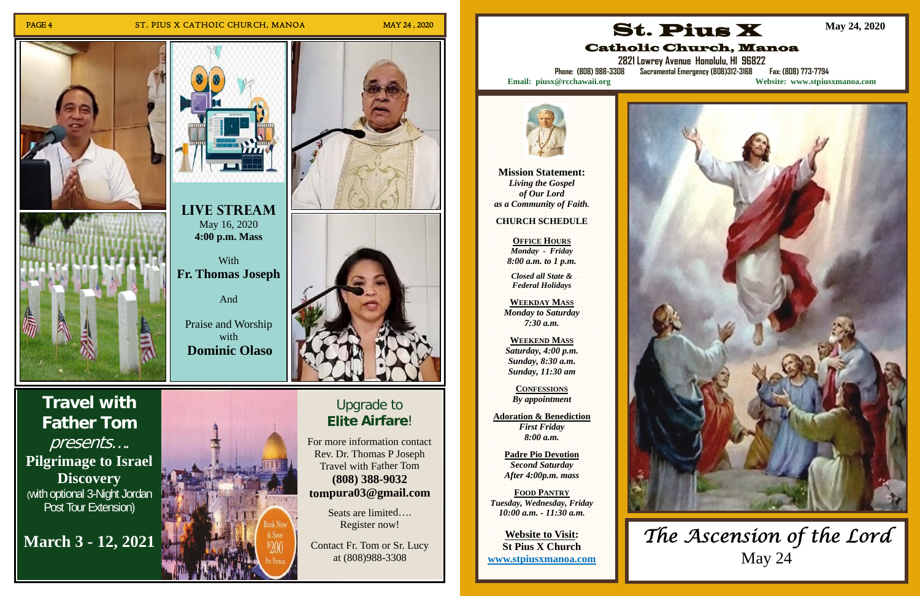## PAGE 4 ST. PIUS X CATHOIC CHURCH, MANOA MAY 24, 2020







## Upgrade to **EliteAirfare**!

For more information contact R e v. D r. T h o m as P J ose p h Travel with Father Tom **(8 0 8) 3 8 8-9 0 3 2 t o m p u r a 0 3 @ g m ail.c o m**

> Seats are limited.... Register now!

Contact Fr. Tom or Sr. Lucy at (8 0 8)9 8 8-3 3 0 8

**With Fr. Thomas Joseph** 

**Travel with Father Tom**  presents…. **Pilgrimage to Israel Discovery** (with optional 3-Night Jordan Post Tour Extension)

**March 3 - 12, 2021** 



**Live Stream**  May 16, 2020 **4:00 p.m. Mass** 

And

Praise and Worship with **Dominic Olaso**



**Mission Statement:**  *Living the Gospel of Our Lord as a Community of Faith.* 

**CHURCH SCHEDULE** 

**OFFICE HOURS** *Monday - Friday 8:00 a.m. to 1 p.m.* 

*Closed all State & Federal Holidays* 

**WEEKDAY MASS** *Monday to Saturday 7:30 a.m.* 

**WEEKEND MASS***Saturday, 4:00 p.m. Sunday, 8:30 a.m. Sunday, 11:30 am* 

**CONFESSIONS** *By appointment* 

**Adoration & Benediction**  *First Friday 8:00 a.m.* 

**Padre Pio Devotion**  *Second Saturday After 4:00p.m. mass* 

**FOOD PANTRY** *Tuesday, Wednesday, Friday 10:00 a.m. - 11:30 a.m.* 

**Website to Visit: St Pius X Church www.stpiusxmanoa.com** 



# Catholic Church, Manoa



**2821 Lowrey Avenue Honolulu, HI 96822** 

**Phone: (808) 988-3308 Sacramental Emergency (808)312-3168 Fax: (808) 773-7794 Email: piusx@rcchawaii.org Website: www.stpiusxmanoa.com**



**May 24, 2020** 

## *The Ascension of the Lord*  May 24